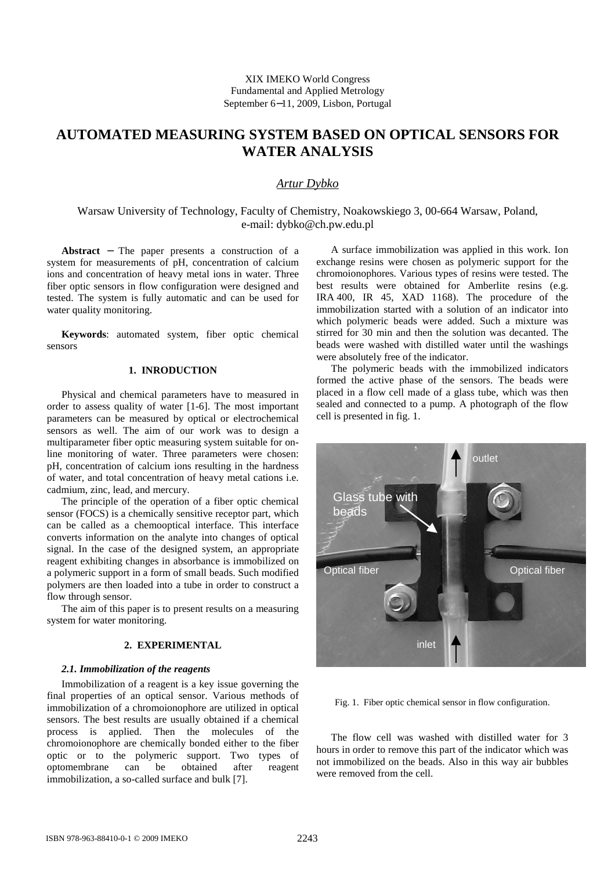XIX IMEKO World Congress Fundamental and Applied Metrology September 6−11, 2009, Lisbon, Portugal

# **AUTOMATED MEASURING SYSTEM BASED ON OPTICAL SENSORS FOR WATER ANALYSIS**

# *Artur Dybko*

Warsaw University of Technology, Faculty of Chemistry, Noakowskiego 3, 00-664 Warsaw, Poland, e-mail: dybko@ch.pw.edu.pl

**Abstract** − The paper presents a construction of a system for measurements of pH, concentration of calcium ions and concentration of heavy metal ions in water. Three fiber optic sensors in flow configuration were designed and tested. The system is fully automatic and can be used for water quality monitoring.

**Keywords**: automated system, fiber optic chemical sensors

# **1. INRODUCTION**

Physical and chemical parameters have to measured in order to assess quality of water [1-6]. The most important parameters can be measured by optical or electrochemical sensors as well. The aim of our work was to design a multiparameter fiber optic measuring system suitable for online monitoring of water. Three parameters were chosen: pH, concentration of calcium ions resulting in the hardness of water, and total concentration of heavy metal cations i.e. cadmium, zinc, lead, and mercury.

The principle of the operation of a fiber optic chemical sensor (FOCS) is a chemically sensitive receptor part, which can be called as a chemooptical interface. This interface converts information on the analyte into changes of optical signal. In the case of the designed system, an appropriate reagent exhibiting changes in absorbance is immobilized on a polymeric support in a form of small beads. Such modified polymers are then loaded into a tube in order to construct a flow through sensor.

The aim of this paper is to present results on a measuring system for water monitoring.

# **2. EXPERIMENTAL**

#### *2.1. Immobilization of the reagents*

Immobilization of a reagent is a key issue governing the final properties of an optical sensor. Various methods of immobilization of a chromoionophore are utilized in optical sensors. The best results are usually obtained if a chemical process is applied. Then the molecules of the chromoionophore are chemically bonded either to the fiber optic or to the polymeric support. Two types of optomembrane can be obtained after reagent immobilization, a so-called surface and bulk [7].

A surface immobilization was applied in this work. Ion exchange resins were chosen as polymeric support for the chromoionophores. Various types of resins were tested. The best results were obtained for Amberlite resins (e.g. IRA 400, IR 45, XAD 1168). The procedure of the immobilization started with a solution of an indicator into which polymeric beads were added. Such a mixture was stirred for 30 min and then the solution was decanted. The beads were washed with distilled water until the washings were absolutely free of the indicator.

The polymeric beads with the immobilized indicators formed the active phase of the sensors. The beads were placed in a flow cell made of a glass tube, which was then sealed and connected to a pump. A photograph of the flow cell is presented in fig. 1.



Fig. 1. Fiber optic chemical sensor in flow configuration.

The flow cell was washed with distilled water for 3 hours in order to remove this part of the indicator which was not immobilized on the beads. Also in this way air bubbles were removed from the cell.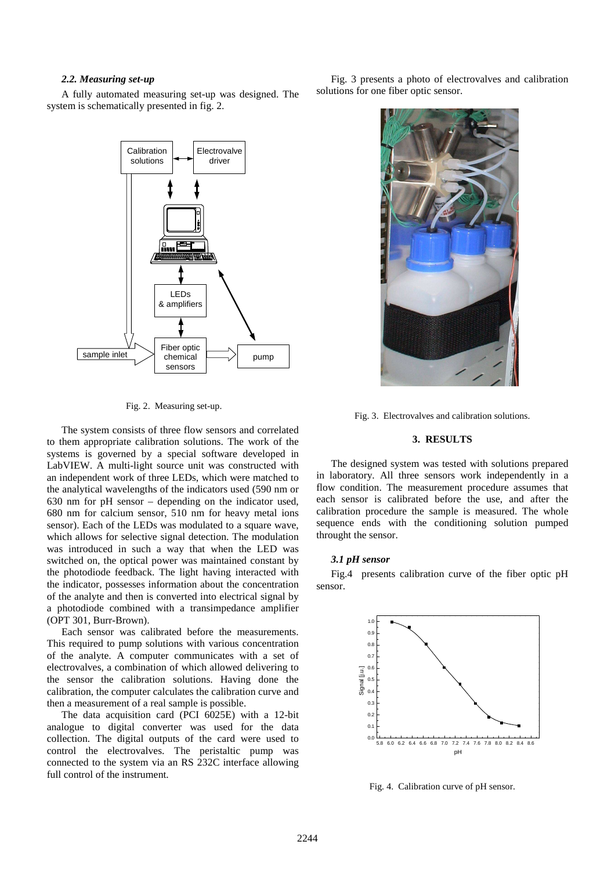#### *2.2. Measuring set-up*

A fully automated measuring set-up was designed. The system is schematically presented in fig. 2.



Fig. 2. Measuring set-up.

The system consists of three flow sensors and correlated to them appropriate calibration solutions. The work of the systems is governed by a special software developed in LabVIEW. A multi-light source unit was constructed with an independent work of three LEDs, which were matched to the analytical wavelengths of the indicators used (590 nm or 630 nm for pH sensor – depending on the indicator used, 680 nm for calcium sensor, 510 nm for heavy metal ions sensor). Each of the LEDs was modulated to a square wave, which allows for selective signal detection. The modulation was introduced in such a way that when the LED was switched on, the optical power was maintained constant by the photodiode feedback. The light having interacted with the indicator, possesses information about the concentration of the analyte and then is converted into electrical signal by a photodiode combined with a transimpedance amplifier (OPT 301, Burr-Brown).

Each sensor was calibrated before the measurements. This required to pump solutions with various concentration of the analyte. A computer communicates with a set of electrovalves, a combination of which allowed delivering to the sensor the calibration solutions. Having done the calibration, the computer calculates the calibration curve and then a measurement of a real sample is possible.

The data acquisition card (PCI 6025E) with a 12-bit analogue to digital converter was used for the data collection. The digital outputs of the card were used to control the electrovalves. The peristaltic pump was connected to the system via an RS 232C interface allowing full control of the instrument.

Fig. 3 presents a photo of electrovalves and calibration solutions for one fiber optic sensor.



Fig. 3. Electrovalves and calibration solutions.

#### **3. RESULTS**

The designed system was tested with solutions prepared in laboratory. All three sensors work independently in a flow condition. The measurement procedure assumes that each sensor is calibrated before the use, and after the calibration procedure the sample is measured. The whole sequence ends with the conditioning solution pumped throught the sensor.

#### *3.1 pH sensor*

Fig.4 presents calibration curve of the fiber optic pH sensor.



Fig. 4. Calibration curve of pH sensor.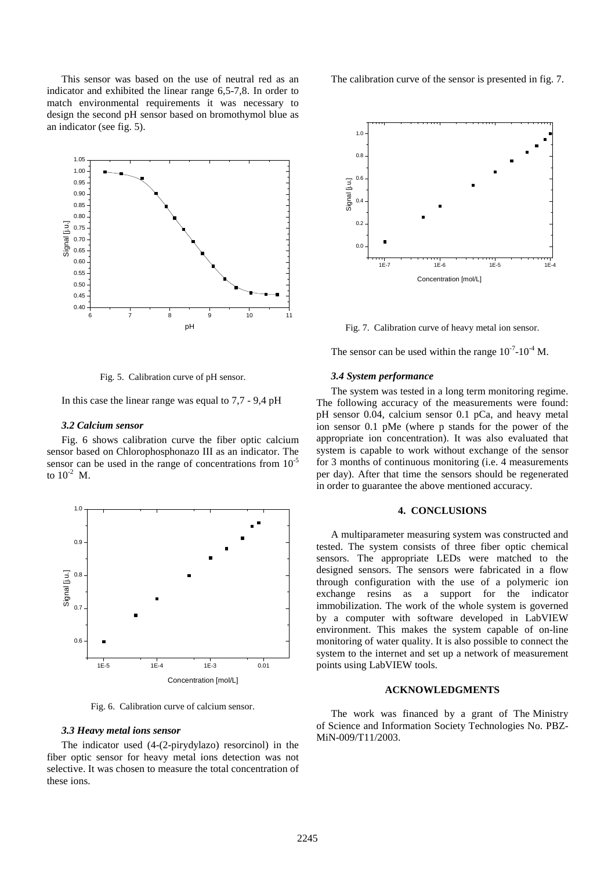This sensor was based on the use of neutral red as an indicator and exhibited the linear range 6,5-7,8. In order to match environmental requirements it was necessary to design the second pH sensor based on bromothymol blue as an indicator (see fig. 5).



Fig. 5. Calibration curve of pH sensor.

In this case the linear range was equal to 7,7 - 9,4 pH

#### *3.2 Calcium sensor*

Fig. 6 shows calibration curve the fiber optic calcium sensor based on Chlorophosphonazo III as an indicator. The sensor can be used in the range of concentrations from  $10^{-5}$ to  $10^{-2}$  M.



Fig. 6. Calibration curve of calcium sensor.

#### *3.3 Heavy metal ions sensor*

The indicator used (4-(2-pirydylazo) resorcinol) in the fiber optic sensor for heavy metal ions detection was not selective. It was chosen to measure the total concentration of these ions.

The calibration curve of the sensor is presented in fig. 7.



Fig. 7. Calibration curve of heavy metal ion sensor.

The sensor can be used within the range  $10^{-7}$ - $10^{-4}$  M.

#### *3.4 System performance*

The system was tested in a long term monitoring regime. The following accuracy of the measurements were found: pH sensor 0.04, calcium sensor 0.1 pCa, and heavy metal ion sensor 0.1 pMe (where p stands for the power of the appropriate ion concentration). It was also evaluated that system is capable to work without exchange of the sensor for 3 months of continuous monitoring (i.e. 4 measurements per day). After that time the sensors should be regenerated in order to guarantee the above mentioned accuracy.

#### **4. CONCLUSIONS**

A multiparameter measuring system was constructed and tested. The system consists of three fiber optic chemical sensors. The appropriate LEDs were matched to the designed sensors. The sensors were fabricated in a flow through configuration with the use of a polymeric ion exchange resins as a support for the indicator immobilization. The work of the whole system is governed by a computer with software developed in LabVIEW environment. This makes the system capable of on-line monitoring of water quality. It is also possible to connect the system to the internet and set up a network of measurement points using LabVIEW tools.

#### **ACKNOWLEDGMENTS**

The work was financed by a grant of The Ministry of Science and Information Society Technologies No. PBZ-MiN-009/T11/2003.